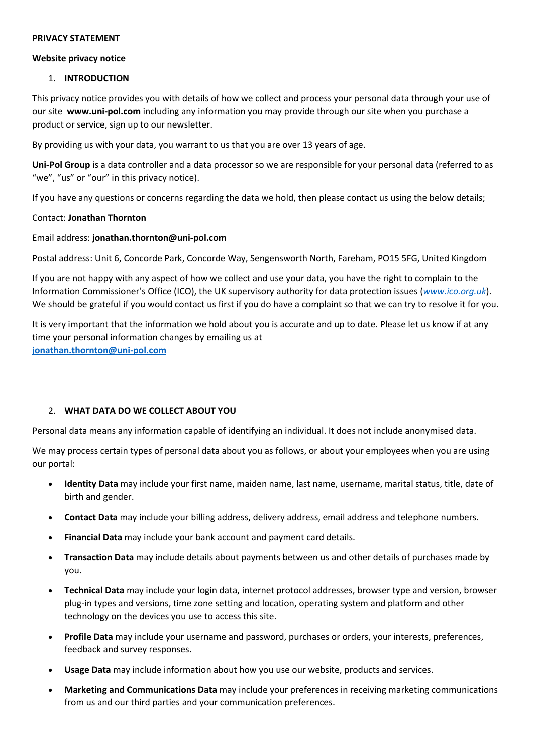#### PRIVACY STATEMENT

#### Website privacy notice

### 1. INTRODUCTION

This privacy notice provides you with details of how we collect and process your personal data through your use of our site www.uni-pol.com including any information you may provide through our site when you purchase a product or service, sign up to our newsletter.

By providing us with your data, you warrant to us that you are over 13 years of age.

Uni-Pol Group is a data controller and a data processor so we are responsible for your personal data (referred to as "we", "us" or "our" in this privacy notice).

If you have any questions or concerns regarding the data we hold, then please contact us using the below details;

### Contact: Jonathan Thornton

### Email address: jonathan.thornton@uni-pol.com

Postal address: Unit 6, Concorde Park, Concorde Way, Sengensworth North, Fareham, PO15 5FG, United Kingdom

If you are not happy with any aspect of how we collect and use your data, you have the right to complain to the Information Commissioner's Office (ICO), the UK supervisory authority for data protection issues (www.ico.org.uk). We should be grateful if you would contact us first if you do have a complaint so that we can try to resolve it for you.

It is very important that the information we hold about you is accurate and up to date. Please let us know if at any time your personal information changes by emailing us at jonathan.thornton@uni-pol.com

### 2. WHAT DATA DO WE COLLECT ABOUT YOU

Personal data means any information capable of identifying an individual. It does not include anonymised data.

We may process certain types of personal data about you as follows, or about your employees when you are using our portal:

- Identity Data may include your first name, maiden name, last name, username, marital status, title, date of birth and gender.
- Contact Data may include your billing address, delivery address, email address and telephone numbers.
- Financial Data may include your bank account and payment card details.
- Transaction Data may include details about payments between us and other details of purchases made by you.
- Technical Data may include your login data, internet protocol addresses, browser type and version, browser plug-in types and versions, time zone setting and location, operating system and platform and other technology on the devices you use to access this site.
- Profile Data may include your username and password, purchases or orders, your interests, preferences, feedback and survey responses.
- Usage Data may include information about how you use our website, products and services.
- Marketing and Communications Data may include your preferences in receiving marketing communications from us and our third parties and your communication preferences.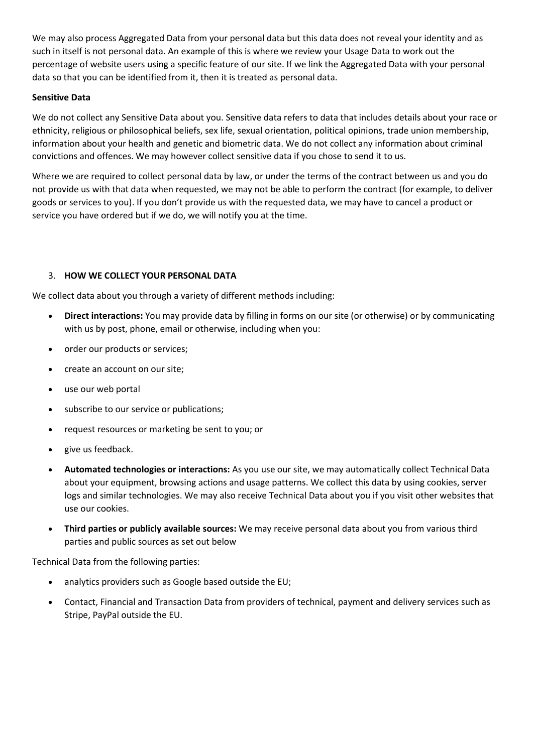We may also process Aggregated Data from your personal data but this data does not reveal your identity and as such in itself is not personal data. An example of this is where we review your Usage Data to work out the percentage of website users using a specific feature of our site. If we link the Aggregated Data with your personal data so that you can be identified from it, then it is treated as personal data.

## Sensitive Data

We do not collect any Sensitive Data about you. Sensitive data refers to data that includes details about your race or ethnicity, religious or philosophical beliefs, sex life, sexual orientation, political opinions, trade union membership, information about your health and genetic and biometric data. We do not collect any information about criminal convictions and offences. We may however collect sensitive data if you chose to send it to us.

Where we are required to collect personal data by law, or under the terms of the contract between us and you do not provide us with that data when requested, we may not be able to perform the contract (for example, to deliver goods or services to you). If you don't provide us with the requested data, we may have to cancel a product or service you have ordered but if we do, we will notify you at the time.

## 3. HOW WE COLLECT YOUR PERSONAL DATA

We collect data about you through a variety of different methods including:

- Direct interactions: You may provide data by filling in forms on our site (or otherwise) or by communicating with us by post, phone, email or otherwise, including when you:
- order our products or services;
- create an account on our site:
- use our web portal
- subscribe to our service or publications;
- request resources or marketing be sent to you; or
- give us feedback.
- Automated technologies or interactions: As you use our site, we may automatically collect Technical Data about your equipment, browsing actions and usage patterns. We collect this data by using cookies, server logs and similar technologies. We may also receive Technical Data about you if you visit other websites that use our cookies.
- Third parties or publicly available sources: We may receive personal data about you from various third parties and public sources as set out below

Technical Data from the following parties:

- analytics providers such as Google based outside the EU;
- Contact, Financial and Transaction Data from providers of technical, payment and delivery services such as Stripe, PayPal outside the EU.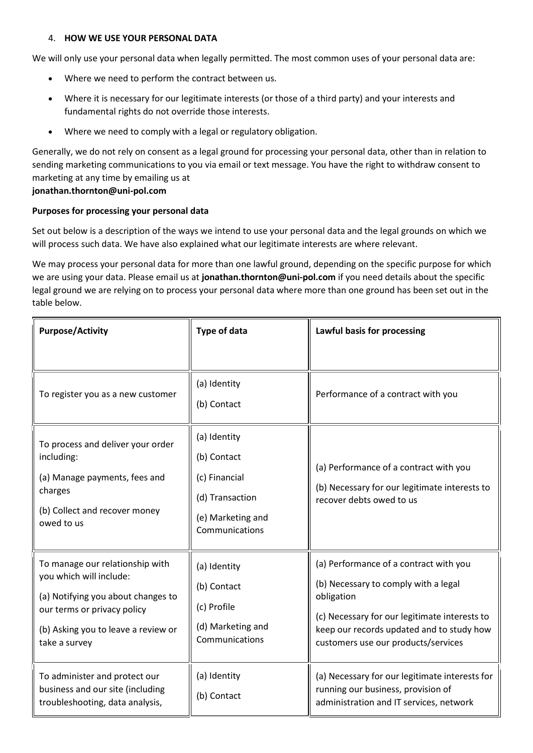### 4. HOW WE USE YOUR PERSONAL DATA

We will only use your personal data when legally permitted. The most common uses of your personal data are:

- Where we need to perform the contract between us.
- Where it is necessary for our legitimate interests (or those of a third party) and your interests and fundamental rights do not override those interests.
- Where we need to comply with a legal or regulatory obligation.

Generally, we do not rely on consent as a legal ground for processing your personal data, other than in relation to sending marketing communications to you via email or text message. You have the right to withdraw consent to marketing at any time by emailing us at

## jonathan.thornton@uni-pol.com

## Purposes for processing your personal data

Set out below is a description of the ways we intend to use your personal data and the legal grounds on which we will process such data. We have also explained what our legitimate interests are where relevant.

We may process your personal data for more than one lawful ground, depending on the specific purpose for which we are using your data. Please email us at jonathan.thornton@uni-pol.com if you need details about the specific legal ground we are relying on to process your personal data where more than one ground has been set out in the table below.

| <b>Purpose/Activity</b>                                                                                                                                                                 | <b>Type of data</b>                                                                                    | Lawful basis for processing                                                                                                                                                                                                       |
|-----------------------------------------------------------------------------------------------------------------------------------------------------------------------------------------|--------------------------------------------------------------------------------------------------------|-----------------------------------------------------------------------------------------------------------------------------------------------------------------------------------------------------------------------------------|
| To register you as a new customer                                                                                                                                                       | (a) Identity<br>(b) Contact                                                                            | Performance of a contract with you                                                                                                                                                                                                |
| To process and deliver your order<br>including:<br>(a) Manage payments, fees and<br>charges<br>(b) Collect and recover money<br>owed to us                                              | (a) Identity<br>(b) Contact<br>(c) Financial<br>(d) Transaction<br>(e) Marketing and<br>Communications | (a) Performance of a contract with you<br>(b) Necessary for our legitimate interests to<br>recover debts owed to us                                                                                                               |
| To manage our relationship with<br>you which will include:<br>(a) Notifying you about changes to<br>our terms or privacy policy<br>(b) Asking you to leave a review or<br>take a survey | (a) Identity<br>(b) Contact<br>(c) Profile<br>(d) Marketing and<br>Communications                      | (a) Performance of a contract with you<br>(b) Necessary to comply with a legal<br>obligation<br>(c) Necessary for our legitimate interests to<br>keep our records updated and to study how<br>customers use our products/services |
| To administer and protect our<br>business and our site (including<br>troubleshooting, data analysis,                                                                                    | (a) Identity<br>(b) Contact                                                                            | (a) Necessary for our legitimate interests for<br>running our business, provision of<br>administration and IT services, network                                                                                                   |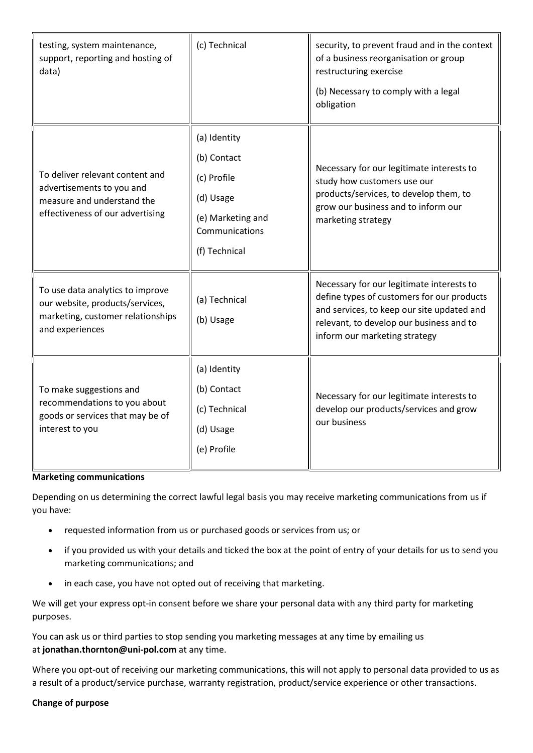| testing, system maintenance,<br>support, reporting and hosting of<br>data)                                                     | (c) Technical                                                                                                   | security, to prevent fraud and in the context<br>of a business reorganisation or group<br>restructuring exercise<br>(b) Necessary to comply with a legal<br>obligation                                             |
|--------------------------------------------------------------------------------------------------------------------------------|-----------------------------------------------------------------------------------------------------------------|--------------------------------------------------------------------------------------------------------------------------------------------------------------------------------------------------------------------|
| To deliver relevant content and<br>advertisements to you and<br>measure and understand the<br>effectiveness of our advertising | (a) Identity<br>(b) Contact<br>(c) Profile<br>(d) Usage<br>(e) Marketing and<br>Communications<br>(f) Technical | Necessary for our legitimate interests to<br>study how customers use our<br>products/services, to develop them, to<br>grow our business and to inform our<br>marketing strategy                                    |
| To use data analytics to improve<br>our website, products/services,<br>marketing, customer relationships<br>and experiences    | (a) Technical<br>(b) Usage                                                                                      | Necessary for our legitimate interests to<br>define types of customers for our products<br>and services, to keep our site updated and<br>relevant, to develop our business and to<br>inform our marketing strategy |
| To make suggestions and<br>recommendations to you about<br>goods or services that may be of<br>interest to you                 | (a) Identity<br>(b) Contact<br>(c) Technical<br>(d) Usage<br>(e) Profile                                        | Necessary for our legitimate interests to<br>develop our products/services and grow<br>our business                                                                                                                |

### Marketing communications

Depending on us determining the correct lawful legal basis you may receive marketing communications from us if you have:

- requested information from us or purchased goods or services from us; or
- if you provided us with your details and ticked the box at the point of entry of your details for us to send you marketing communications; and
- in each case, you have not opted out of receiving that marketing.

We will get your express opt-in consent before we share your personal data with any third party for marketing purposes.

You can ask us or third parties to stop sending you marketing messages at any time by emailing us at jonathan.thornton@uni-pol.com at any time.

Where you opt-out of receiving our marketing communications, this will not apply to personal data provided to us as a result of a product/service purchase, warranty registration, product/service experience or other transactions.

### Change of purpose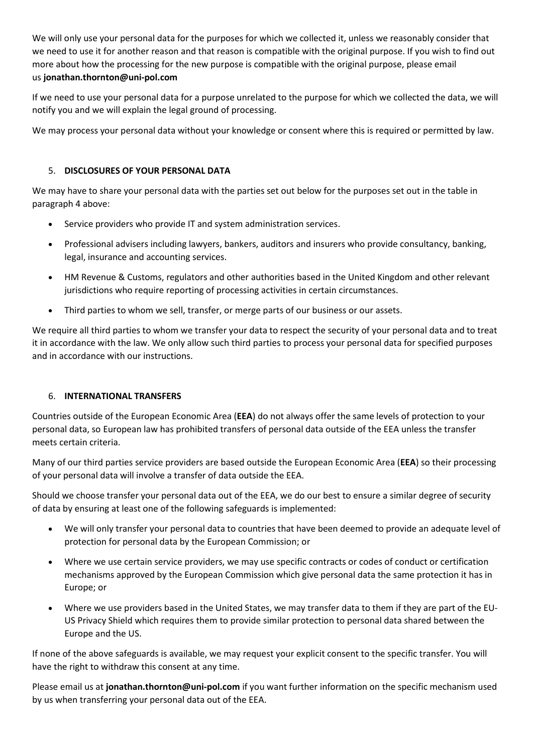We will only use your personal data for the purposes for which we collected it, unless we reasonably consider that we need to use it for another reason and that reason is compatible with the original purpose. If you wish to find out more about how the processing for the new purpose is compatible with the original purpose, please email us jonathan.thornton@uni-pol.com

If we need to use your personal data for a purpose unrelated to the purpose for which we collected the data, we will notify you and we will explain the legal ground of processing.

We may process your personal data without your knowledge or consent where this is required or permitted by law.

# 5. DISCLOSURES OF YOUR PERSONAL DATA

We may have to share your personal data with the parties set out below for the purposes set out in the table in paragraph 4 above:

- Service providers who provide IT and system administration services.
- Professional advisers including lawyers, bankers, auditors and insurers who provide consultancy, banking, legal, insurance and accounting services.
- HM Revenue & Customs, regulators and other authorities based in the United Kingdom and other relevant jurisdictions who require reporting of processing activities in certain circumstances.
- Third parties to whom we sell, transfer, or merge parts of our business or our assets.

We require all third parties to whom we transfer your data to respect the security of your personal data and to treat it in accordance with the law. We only allow such third parties to process your personal data for specified purposes and in accordance with our instructions.

## 6. INTERNATIONAL TRANSFERS

Countries outside of the European Economic Area (EEA) do not always offer the same levels of protection to your personal data, so European law has prohibited transfers of personal data outside of the EEA unless the transfer meets certain criteria.

Many of our third parties service providers are based outside the European Economic Area (EEA) so their processing of your personal data will involve a transfer of data outside the EEA.

Should we choose transfer your personal data out of the EEA, we do our best to ensure a similar degree of security of data by ensuring at least one of the following safeguards is implemented:

- We will only transfer your personal data to countries that have been deemed to provide an adequate level of protection for personal data by the European Commission; or
- Where we use certain service providers, we may use specific contracts or codes of conduct or certification mechanisms approved by the European Commission which give personal data the same protection it has in Europe; or
- Where we use providers based in the United States, we may transfer data to them if they are part of the EU-US Privacy Shield which requires them to provide similar protection to personal data shared between the Europe and the US.

If none of the above safeguards is available, we may request your explicit consent to the specific transfer. You will have the right to withdraw this consent at any time.

Please email us at jonathan.thornton@uni-pol.com if you want further information on the specific mechanism used by us when transferring your personal data out of the EEA.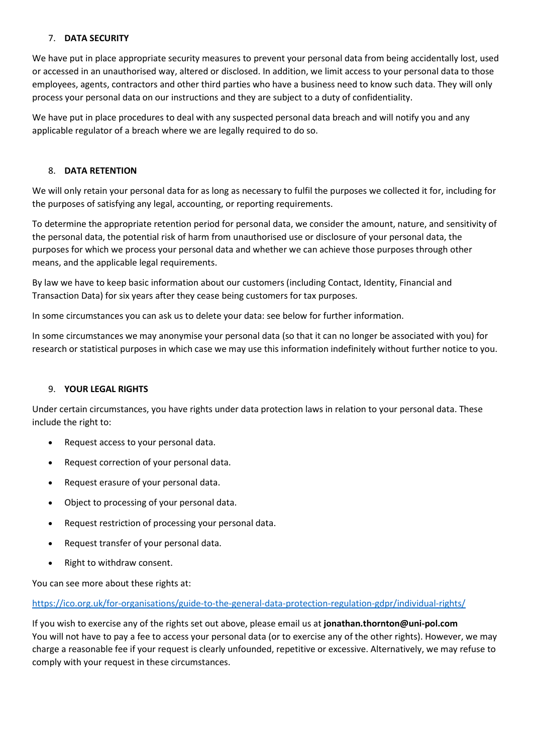## 7. DATA SECURITY

We have put in place appropriate security measures to prevent your personal data from being accidentally lost, used or accessed in an unauthorised way, altered or disclosed. In addition, we limit access to your personal data to those employees, agents, contractors and other third parties who have a business need to know such data. They will only process your personal data on our instructions and they are subject to a duty of confidentiality.

We have put in place procedures to deal with any suspected personal data breach and will notify you and any applicable regulator of a breach where we are legally required to do so.

### 8. DATA RETENTION

We will only retain your personal data for as long as necessary to fulfil the purposes we collected it for, including for the purposes of satisfying any legal, accounting, or reporting requirements.

To determine the appropriate retention period for personal data, we consider the amount, nature, and sensitivity of the personal data, the potential risk of harm from unauthorised use or disclosure of your personal data, the purposes for which we process your personal data and whether we can achieve those purposes through other means, and the applicable legal requirements.

By law we have to keep basic information about our customers (including Contact, Identity, Financial and Transaction Data) for six years after they cease being customers for tax purposes.

In some circumstances you can ask us to delete your data: see below for further information.

In some circumstances we may anonymise your personal data (so that it can no longer be associated with you) for research or statistical purposes in which case we may use this information indefinitely without further notice to you.

### 9. YOUR LEGAL RIGHTS

Under certain circumstances, you have rights under data protection laws in relation to your personal data. These include the right to:

- Request access to your personal data.
- Request correction of your personal data.
- Request erasure of your personal data.
- Object to processing of your personal data.
- Request restriction of processing your personal data.
- Request transfer of your personal data.
- Right to withdraw consent.

You can see more about these rights at:

https://ico.org.uk/for-organisations/guide-to-the-general-data-protection-regulation-gdpr/individual-rights/

If you wish to exercise any of the rights set out above, please email us at jonathan.thornton@uni-pol.com You will not have to pay a fee to access your personal data (or to exercise any of the other rights). However, we may charge a reasonable fee if your request is clearly unfounded, repetitive or excessive. Alternatively, we may refuse to comply with your request in these circumstances.